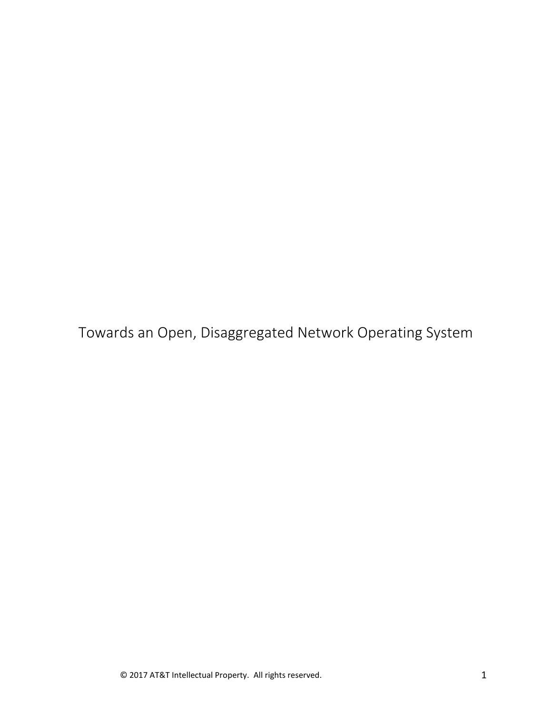Towards an Open, Disaggregated Network Operating System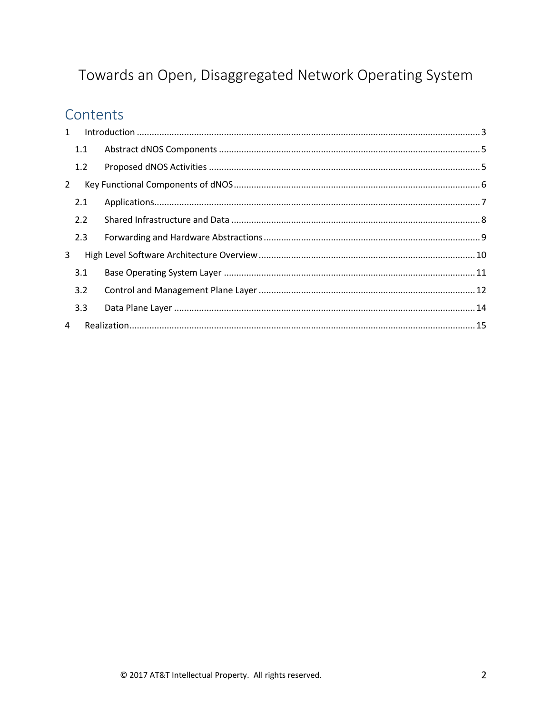# Towards an Open, Disaggregated Network Operating System

## Contents

| $\mathbf{1}$   |  |  |
|----------------|--|--|
| 1.1            |  |  |
| 1.2            |  |  |
| $\overline{2}$ |  |  |
| 2.1            |  |  |
| 2.2            |  |  |
| 2.3            |  |  |
| 3              |  |  |
| 3.1            |  |  |
| 3.2            |  |  |
| 3.3            |  |  |
| 4              |  |  |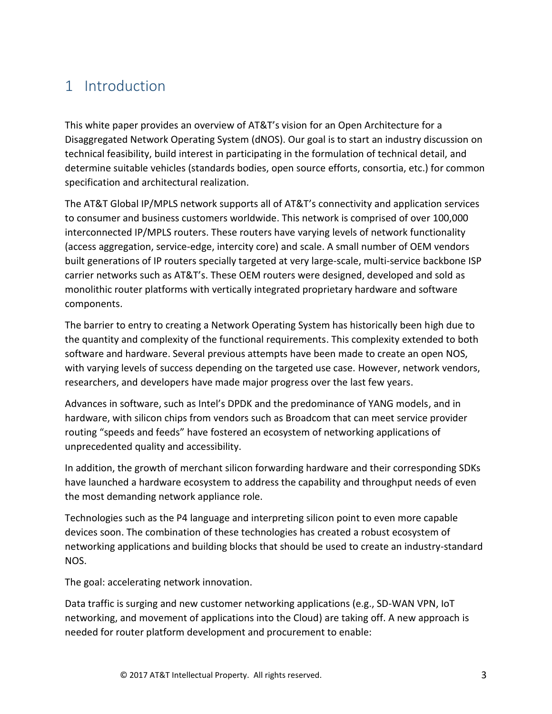## <span id="page-2-0"></span>1 Introduction

This white paper provides an overview of AT&T's vision for an Open Architecture for a Disaggregated Network Operating System (dNOS). Our goal is to start an industry discussion on technical feasibility, build interest in participating in the formulation of technical detail, and determine suitable vehicles (standards bodies, open source efforts, consortia, etc.) for common specification and architectural realization.

The AT&T Global IP/MPLS network supports all of AT&T's connectivity and application services to consumer and business customers worldwide. This network is comprised of over 100,000 interconnected IP/MPLS routers. These routers have varying levels of network functionality (access aggregation, service-edge, intercity core) and scale. A small number of OEM vendors built generations of IP routers specially targeted at very large-scale, multi-service backbone ISP carrier networks such as AT&T's. These OEM routers were designed, developed and sold as monolithic router platforms with vertically integrated proprietary hardware and software components.

The barrier to entry to creating a Network Operating System has historically been high due to the quantity and complexity of the functional requirements. This complexity extended to both software and hardware. Several previous attempts have been made to create an open NOS, with varying levels of success depending on the targeted use case. However, network vendors, researchers, and developers have made major progress over the last few years.

Advances in software, such as Intel's DPDK and the predominance of YANG models, and in hardware, with silicon chips from vendors such as Broadcom that can meet service provider routing "speeds and feeds" have fostered an ecosystem of networking applications of unprecedented quality and accessibility.

In addition, the growth of merchant silicon forwarding hardware and their corresponding SDKs have launched a hardware ecosystem to address the capability and throughput needs of even the most demanding network appliance role.

Technologies such as the P4 language and interpreting silicon point to even more capable devices soon. The combination of these technologies has created a robust ecosystem of networking applications and building blocks that should be used to create an industry-standard NOS.

The goal: accelerating network innovation.

Data traffic is surging and new customer networking applications (e.g., SD-WAN VPN, IoT networking, and movement of applications into the Cloud) are taking off. A new approach is needed for router platform development and procurement to enable: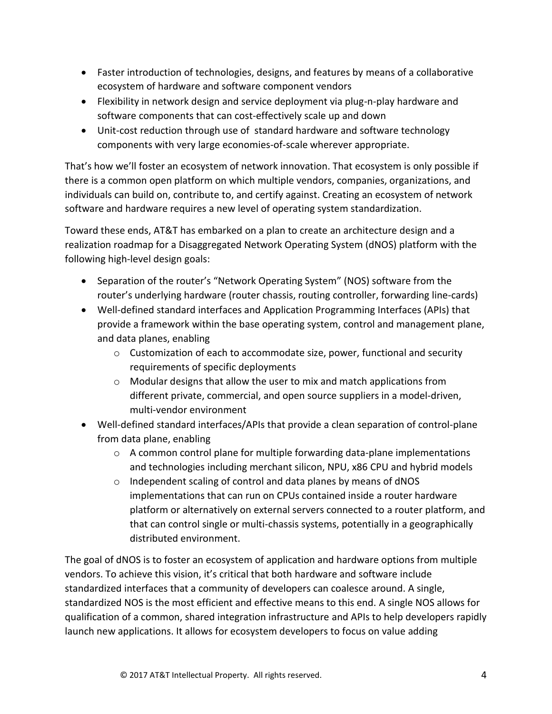- Faster introduction of technologies, designs, and features by means of a collaborative ecosystem of hardware and software component vendors
- Flexibility in network design and service deployment via plug-n-play hardware and software components that can cost-effectively scale up and down
- Unit-cost reduction through use of standard hardware and software technology components with very large economies-of-scale wherever appropriate.

That's how we'll foster an ecosystem of network innovation. That ecosystem is only possible if there is a common open platform on which multiple vendors, companies, organizations, and individuals can build on, contribute to, and certify against. Creating an ecosystem of network software and hardware requires a new level of operating system standardization.

Toward these ends, AT&T has embarked on a plan to create an architecture design and a realization roadmap for a Disaggregated Network Operating System (dNOS) platform with the following high-level design goals:

- Separation of the router's "Network Operating System" (NOS) software from the router's underlying hardware (router chassis, routing controller, forwarding line-cards)
- Well-defined standard interfaces and Application Programming Interfaces (APIs) that provide a framework within the base operating system, control and management plane, and data planes, enabling
	- $\circ$  Customization of each to accommodate size, power, functional and security requirements of specific deployments
	- o Modular designs that allow the user to mix and match applications from different private, commercial, and open source suppliers in a model-driven, multi-vendor environment
- Well-defined standard interfaces/APIs that provide a clean separation of control-plane from data plane, enabling
	- $\circ$  A common control plane for multiple forwarding data-plane implementations and technologies including merchant silicon, NPU, x86 CPU and hybrid models
	- o Independent scaling of control and data planes by means of dNOS implementations that can run on CPUs contained inside a router hardware platform or alternatively on external servers connected to a router platform, and that can control single or multi-chassis systems, potentially in a geographically distributed environment.

The goal of dNOS is to foster an ecosystem of application and hardware options from multiple vendors. To achieve this vision, it's critical that both hardware and software include standardized interfaces that a community of developers can coalesce around. A single, standardized NOS is the most efficient and effective means to this end. A single NOS allows for qualification of a common, shared integration infrastructure and APIs to help developers rapidly launch new applications. It allows for ecosystem developers to focus on value adding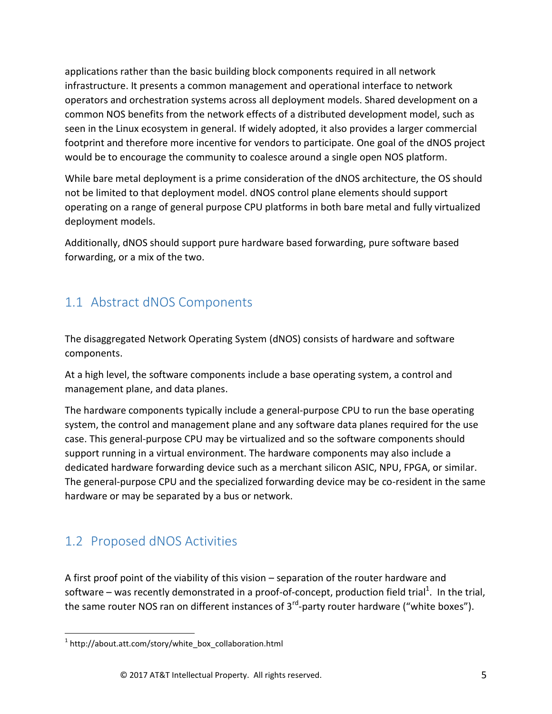applications rather than the basic building block components required in all network infrastructure. It presents a common management and operational interface to network operators and orchestration systems across all deployment models. Shared development on a common NOS benefits from the network effects of a distributed development model, such as seen in the Linux ecosystem in general. If widely adopted, it also provides a larger commercial footprint and therefore more incentive for vendors to participate. One goal of the dNOS project would be to encourage the community to coalesce around a single open NOS platform.

While bare metal deployment is a prime consideration of the dNOS architecture, the OS should not be limited to that deployment model. dNOS control plane elements should support operating on a range of general purpose CPU platforms in both bare metal and fully virtualized deployment models.

Additionally, dNOS should support pure hardware based forwarding, pure software based forwarding, or a mix of the two.

### <span id="page-4-0"></span>1.1 Abstract dNOS Components

The disaggregated Network Operating System (dNOS) consists of hardware and software components.

At a high level, the software components include a base operating system, a control and management plane, and data planes.

The hardware components typically include a general-purpose CPU to run the base operating system, the control and management plane and any software data planes required for the use case. This general-purpose CPU may be virtualized and so the software components should support running in a virtual environment. The hardware components may also include a dedicated hardware forwarding device such as a merchant silicon ASIC, NPU, FPGA, or similar. The general-purpose CPU and the specialized forwarding device may be co-resident in the same hardware or may be separated by a bus or network.

### <span id="page-4-1"></span>1.2 Proposed dNOS Activities

A first proof point of the viability of this vision – separation of the router hardware and software – was recently demonstrated in a proof-of-concept, production field trial<sup>1</sup>. In the trial, the same router NOS ran on different instances of 3<sup>rd</sup>-party router hardware ("white boxes").

 $\overline{\phantom{a}}$ <sup>1</sup> http://about.att.com/story/white\_box\_collaboration.html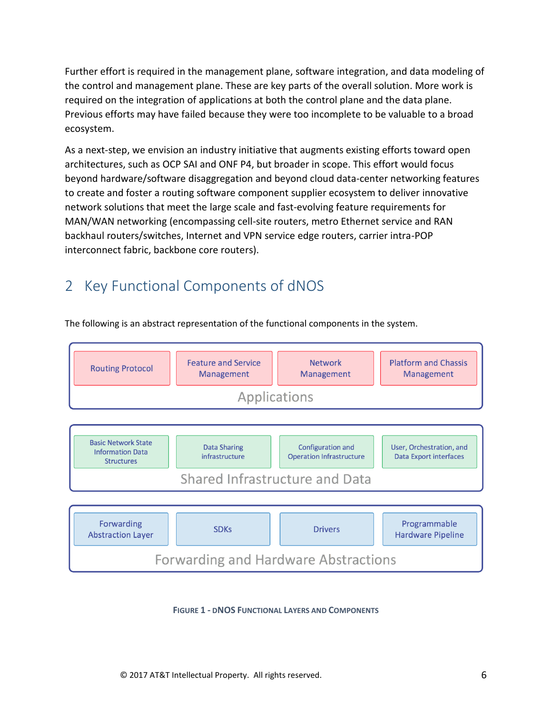Further effort is required in the management plane, software integration, and data modeling of the control and management plane. These are key parts of the overall solution. More work is required on the integration of applications at both the control plane and the data plane. Previous efforts may have failed because they were too incomplete to be valuable to a broad ecosystem.

As a next-step, we envision an industry initiative that augments existing efforts toward open architectures, such as OCP SAI and ONF P4, but broader in scope. This effort would focus beyond hardware/software disaggregation and beyond cloud data-center networking features to create and foster a routing software component supplier ecosystem to deliver innovative network solutions that meet the large scale and fast-evolving feature requirements for MAN/WAN networking (encompassing cell-site routers, metro Ethernet service and RAN backhaul routers/switches, Internet and VPN service edge routers, carrier intra-POP interconnect fabric, backbone core routers).

## <span id="page-5-0"></span>2 Key Functional Components of dNOS

The following is an abstract representation of the functional components in the system.



**FIGURE 1 - DNOS FUNCTIONAL LAYERS AND COMPONENTS**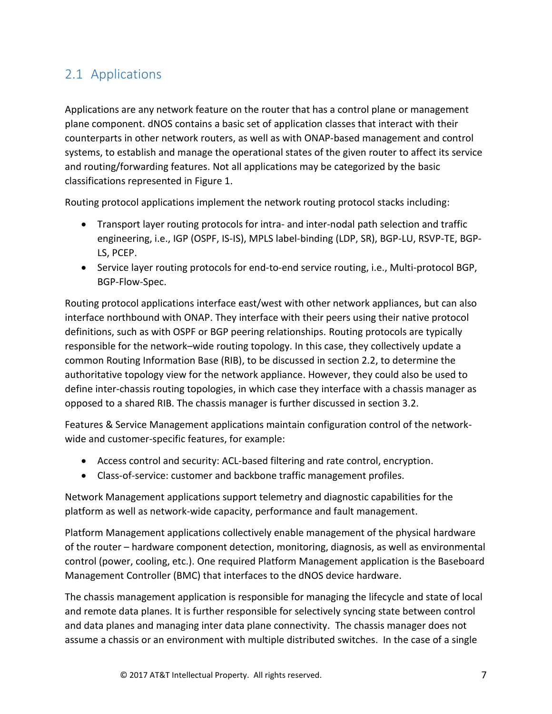#### <span id="page-6-0"></span>2.1 Applications

Applications are any network feature on the router that has a control plane or management plane component. dNOS contains a basic set of application classes that interact with their counterparts in other network routers, as well as with ONAP-based management and control systems, to establish and manage the operational states of the given router to affect its service and routing/forwarding features. Not all applications may be categorized by the basic classifications represented in Figure 1.

Routing protocol applications implement the network routing protocol stacks including:

- Transport layer routing protocols for intra- and inter-nodal path selection and traffic engineering, i.e., IGP (OSPF, IS-IS), MPLS label-binding (LDP, SR), BGP-LU, RSVP-TE, BGP-LS, PCEP.
- Service layer routing protocols for end-to-end service routing, i.e., Multi-protocol BGP, BGP-Flow-Spec.

Routing protocol applications interface east/west with other network appliances, but can also interface northbound with ONAP. They interface with their peers using their native protocol definitions, such as with OSPF or BGP peering relationships. Routing protocols are typically responsible for the network–wide routing topology. In this case, they collectively update a common Routing Information Base (RIB), to be discussed in section 2.2, to determine the authoritative topology view for the network appliance. However, they could also be used to define inter-chassis routing topologies, in which case they interface with a chassis manager as opposed to a shared RIB. The chassis manager is further discussed in section 3.2.

Features & Service Management applications maintain configuration control of the networkwide and customer-specific features, for example:

- Access control and security: ACL-based filtering and rate control, encryption.
- Class-of-service: customer and backbone traffic management profiles.

Network Management applications support telemetry and diagnostic capabilities for the platform as well as network-wide capacity, performance and fault management.

Platform Management applications collectively enable management of the physical hardware of the router – hardware component detection, monitoring, diagnosis, as well as environmental control (power, cooling, etc.). One required Platform Management application is the Baseboard Management Controller (BMC) that interfaces to the dNOS device hardware.

The chassis management application is responsible for managing the lifecycle and state of local and remote data planes. It is further responsible for selectively syncing state between control and data planes and managing inter data plane connectivity. The chassis manager does not assume a chassis or an environment with multiple distributed switches. In the case of a single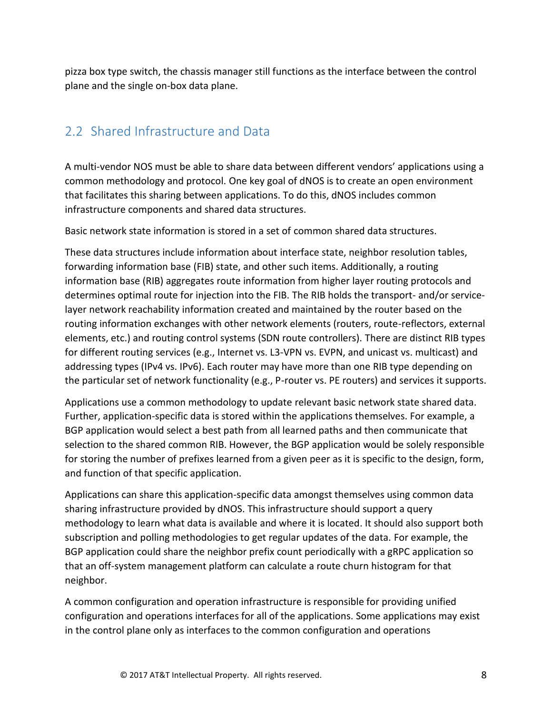pizza box type switch, the chassis manager still functions as the interface between the control plane and the single on-box data plane.

#### <span id="page-7-0"></span>2.2 Shared Infrastructure and Data

A multi-vendor NOS must be able to share data between different vendors' applications using a common methodology and protocol. One key goal of dNOS is to create an open environment that facilitates this sharing between applications. To do this, dNOS includes common infrastructure components and shared data structures.

Basic network state information is stored in a set of common shared data structures.

These data structures include information about interface state, neighbor resolution tables, forwarding information base (FIB) state, and other such items. Additionally, a routing information base (RIB) aggregates route information from higher layer routing protocols and determines optimal route for injection into the FIB. The RIB holds the transport- and/or servicelayer network reachability information created and maintained by the router based on the routing information exchanges with other network elements (routers, route-reflectors, external elements, etc.) and routing control systems (SDN route controllers). There are distinct RIB types for different routing services (e.g., Internet vs. L3-VPN vs. EVPN, and unicast vs. multicast) and addressing types (IPv4 vs. IPv6). Each router may have more than one RIB type depending on the particular set of network functionality (e.g., P-router vs. PE routers) and services it supports.

Applications use a common methodology to update relevant basic network state shared data. Further, application-specific data is stored within the applications themselves. For example, a BGP application would select a best path from all learned paths and then communicate that selection to the shared common RIB. However, the BGP application would be solely responsible for storing the number of prefixes learned from a given peer as it is specific to the design, form, and function of that specific application.

Applications can share this application-specific data amongst themselves using common data sharing infrastructure provided by dNOS. This infrastructure should support a query methodology to learn what data is available and where it is located. It should also support both subscription and polling methodologies to get regular updates of the data. For example, the BGP application could share the neighbor prefix count periodically with a gRPC application so that an off-system management platform can calculate a route churn histogram for that neighbor.

A common configuration and operation infrastructure is responsible for providing unified configuration and operations interfaces for all of the applications. Some applications may exist in the control plane only as interfaces to the common configuration and operations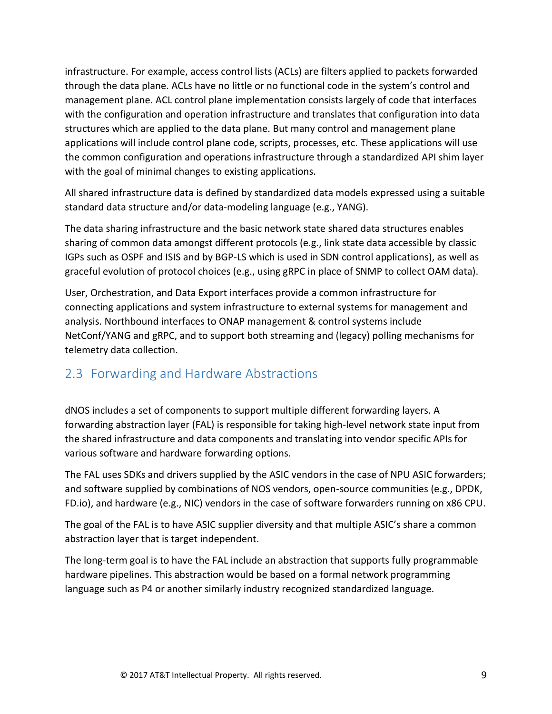infrastructure. For example, access control lists (ACLs) are filters applied to packets forwarded through the data plane. ACLs have no little or no functional code in the system's control and management plane. ACL control plane implementation consists largely of code that interfaces with the configuration and operation infrastructure and translates that configuration into data structures which are applied to the data plane. But many control and management plane applications will include control plane code, scripts, processes, etc. These applications will use the common configuration and operations infrastructure through a standardized API shim layer with the goal of minimal changes to existing applications.

All shared infrastructure data is defined by standardized data models expressed using a suitable standard data structure and/or data-modeling language (e.g., YANG).

The data sharing infrastructure and the basic network state shared data structures enables sharing of common data amongst different protocols (e.g., link state data accessible by classic IGPs such as OSPF and ISIS and by BGP-LS which is used in SDN control applications), as well as graceful evolution of protocol choices (e.g., using gRPC in place of SNMP to collect OAM data).

User, Orchestration, and Data Export interfaces provide a common infrastructure for connecting applications and system infrastructure to external systems for management and analysis. Northbound interfaces to ONAP management & control systems include NetConf/YANG and gRPC, and to support both streaming and (legacy) polling mechanisms for telemetry data collection.

#### <span id="page-8-0"></span>2.3 Forwarding and Hardware Abstractions

dNOS includes a set of components to support multiple different forwarding layers. A forwarding abstraction layer (FAL) is responsible for taking high-level network state input from the shared infrastructure and data components and translating into vendor specific APIs for various software and hardware forwarding options.

The FAL uses SDKs and drivers supplied by the ASIC vendors in the case of NPU ASIC forwarders; and software supplied by combinations of NOS vendors, open-source communities (e.g., DPDK, FD.io), and hardware (e.g., NIC) vendors in the case of software forwarders running on x86 CPU.

The goal of the FAL is to have ASIC supplier diversity and that multiple ASIC's share a common abstraction layer that is target independent.

The long-term goal is to have the FAL include an abstraction that supports fully programmable hardware pipelines. This abstraction would be based on a formal network programming language such as P4 or another similarly industry recognized standardized language.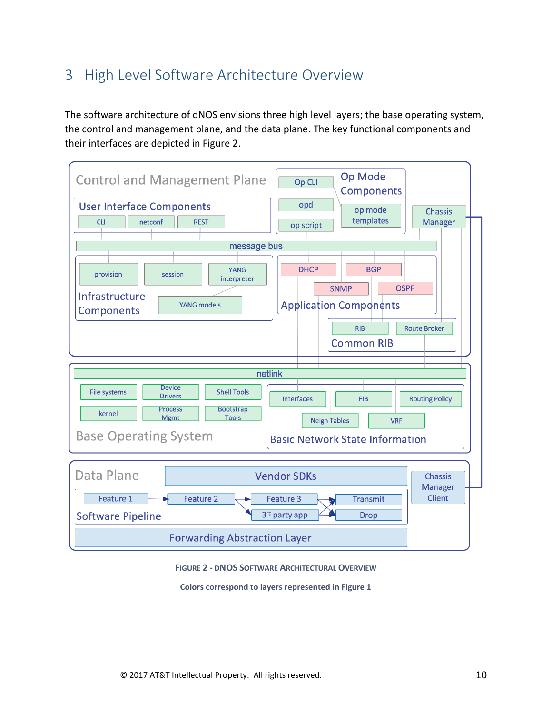## <span id="page-9-0"></span>3 High Level Software Architecture Overview

The software architecture of dNOS envisions three high level layers; the base operating system, the control and management plane, and the data plane. The key functional components and their interfaces are depicted in Figure 2.



**FIGURE 2 - DNOS SOFTWARE ARCHITECTURAL OVERVIEW**

**Colors correspond to layers represented in Figure 1**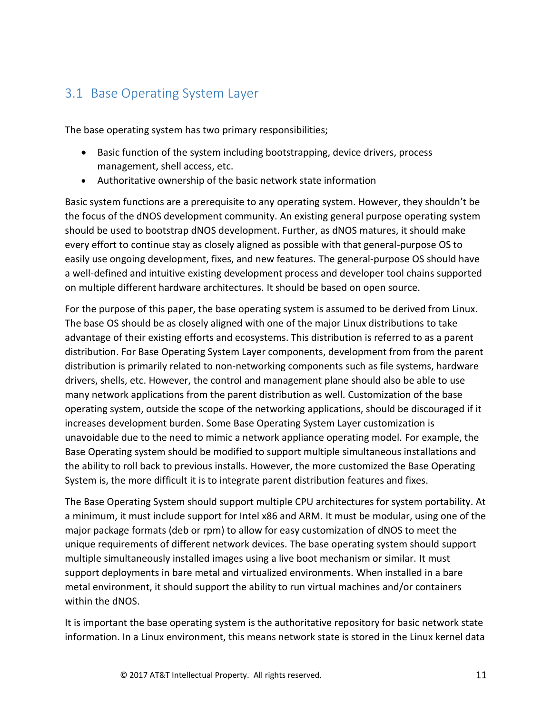#### <span id="page-10-0"></span>3.1 Base Operating System Layer

The base operating system has two primary responsibilities;

- Basic function of the system including bootstrapping, device drivers, process management, shell access, etc.
- Authoritative ownership of the basic network state information

Basic system functions are a prerequisite to any operating system. However, they shouldn't be the focus of the dNOS development community. An existing general purpose operating system should be used to bootstrap dNOS development. Further, as dNOS matures, it should make every effort to continue stay as closely aligned as possible with that general-purpose OS to easily use ongoing development, fixes, and new features. The general-purpose OS should have a well-defined and intuitive existing development process and developer tool chains supported on multiple different hardware architectures. It should be based on open source.

For the purpose of this paper, the base operating system is assumed to be derived from Linux. The base OS should be as closely aligned with one of the major Linux distributions to take advantage of their existing efforts and ecosystems. This distribution is referred to as a parent distribution. For Base Operating System Layer components, development from from the parent distribution is primarily related to non-networking components such as file systems, hardware drivers, shells, etc. However, the control and management plane should also be able to use many network applications from the parent distribution as well. Customization of the base operating system, outside the scope of the networking applications, should be discouraged if it increases development burden. Some Base Operating System Layer customization is unavoidable due to the need to mimic a network appliance operating model. For example, the Base Operating system should be modified to support multiple simultaneous installations and the ability to roll back to previous installs. However, the more customized the Base Operating System is, the more difficult it is to integrate parent distribution features and fixes.

The Base Operating System should support multiple CPU architectures for system portability. At a minimum, it must include support for Intel x86 and ARM. It must be modular, using one of the major package formats (deb or rpm) to allow for easy customization of dNOS to meet the unique requirements of different network devices. The base operating system should support multiple simultaneously installed images using a live boot mechanism or similar. It must support deployments in bare metal and virtualized environments. When installed in a bare metal environment, it should support the ability to run virtual machines and/or containers within the dNOS.

It is important the base operating system is the authoritative repository for basic network state information. In a Linux environment, this means network state is stored in the Linux kernel data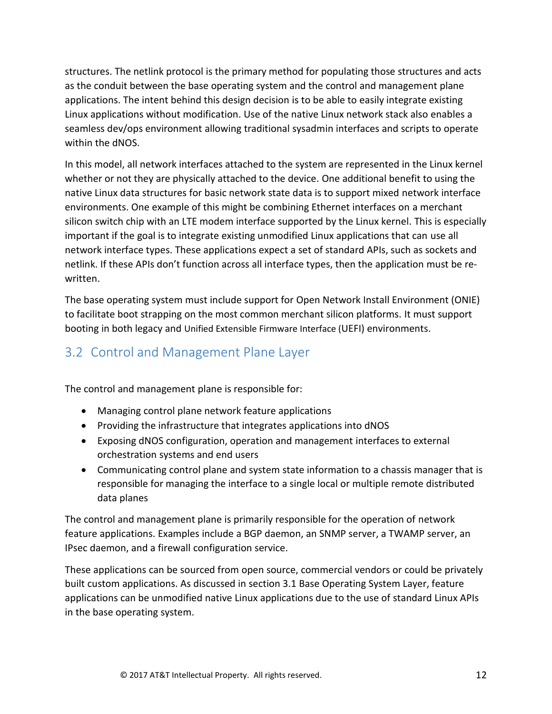structures. The netlink protocol is the primary method for populating those structures and acts as the conduit between the base operating system and the control and management plane applications. The intent behind this design decision is to be able to easily integrate existing Linux applications without modification. Use of the native Linux network stack also enables a seamless dev/ops environment allowing traditional sysadmin interfaces and scripts to operate within the dNOS.

In this model, all network interfaces attached to the system are represented in the Linux kernel whether or not they are physically attached to the device. One additional benefit to using the native Linux data structures for basic network state data is to support mixed network interface environments. One example of this might be combining Ethernet interfaces on a merchant silicon switch chip with an LTE modem interface supported by the Linux kernel. This is especially important if the goal is to integrate existing unmodified Linux applications that can use all network interface types. These applications expect a set of standard APIs, such as sockets and netlink. If these APIs don't function across all interface types, then the application must be rewritten.

The base operating system must include support for Open Network Install Environment (ONIE) to facilitate boot strapping on the most common merchant silicon platforms. It must support booting in both legacy and Unified Extensible Firmware Interface (UEFI) environments.

#### <span id="page-11-0"></span>3.2 Control and Management Plane Layer

The control and management plane is responsible for:

- Managing control plane network feature applications
- Providing the infrastructure that integrates applications into dNOS
- Exposing dNOS configuration, operation and management interfaces to external orchestration systems and end users
- Communicating control plane and system state information to a chassis manager that is responsible for managing the interface to a single local or multiple remote distributed data planes

The control and management plane is primarily responsible for the operation of network feature applications. Examples include a BGP daemon, an SNMP server, a TWAMP server, an IPsec daemon, and a firewall configuration service.

These applications can be sourced from open source, commercial vendors or could be privately built custom applications. As discussed in section 3.1 Base Operating System Layer, feature applications can be unmodified native Linux applications due to the use of standard Linux APIs in the base operating system.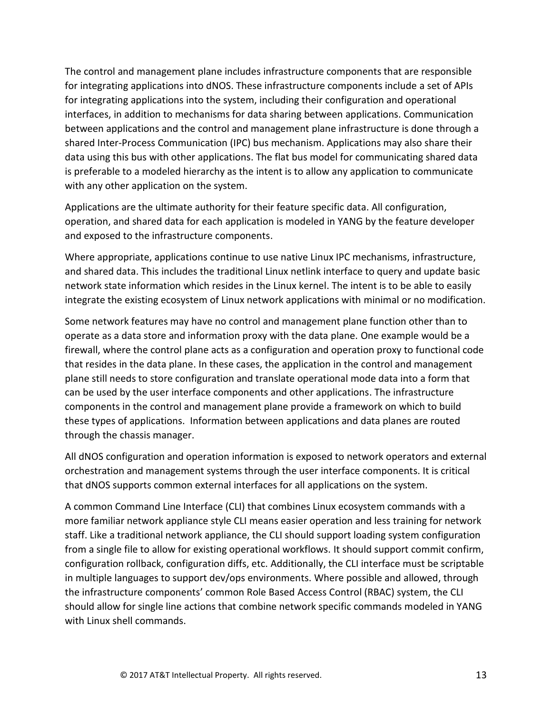The control and management plane includes infrastructure components that are responsible for integrating applications into dNOS. These infrastructure components include a set of APIs for integrating applications into the system, including their configuration and operational interfaces, in addition to mechanisms for data sharing between applications. Communication between applications and the control and management plane infrastructure is done through a shared Inter-Process Communication (IPC) bus mechanism. Applications may also share their data using this bus with other applications. The flat bus model for communicating shared data is preferable to a modeled hierarchy as the intent is to allow any application to communicate with any other application on the system.

Applications are the ultimate authority for their feature specific data. All configuration, operation, and shared data for each application is modeled in YANG by the feature developer and exposed to the infrastructure components.

Where appropriate, applications continue to use native Linux IPC mechanisms, infrastructure, and shared data. This includes the traditional Linux netlink interface to query and update basic network state information which resides in the Linux kernel. The intent is to be able to easily integrate the existing ecosystem of Linux network applications with minimal or no modification.

Some network features may have no control and management plane function other than to operate as a data store and information proxy with the data plane. One example would be a firewall, where the control plane acts as a configuration and operation proxy to functional code that resides in the data plane. In these cases, the application in the control and management plane still needs to store configuration and translate operational mode data into a form that can be used by the user interface components and other applications. The infrastructure components in the control and management plane provide a framework on which to build these types of applications. Information between applications and data planes are routed through the chassis manager.

All dNOS configuration and operation information is exposed to network operators and external orchestration and management systems through the user interface components. It is critical that dNOS supports common external interfaces for all applications on the system.

A common Command Line Interface (CLI) that combines Linux ecosystem commands with a more familiar network appliance style CLI means easier operation and less training for network staff. Like a traditional network appliance, the CLI should support loading system configuration from a single file to allow for existing operational workflows. It should support commit confirm, configuration rollback, configuration diffs, etc. Additionally, the CLI interface must be scriptable in multiple languages to support dev/ops environments. Where possible and allowed, through the infrastructure components' common Role Based Access Control (RBAC) system, the CLI should allow for single line actions that combine network specific commands modeled in YANG with Linux shell commands.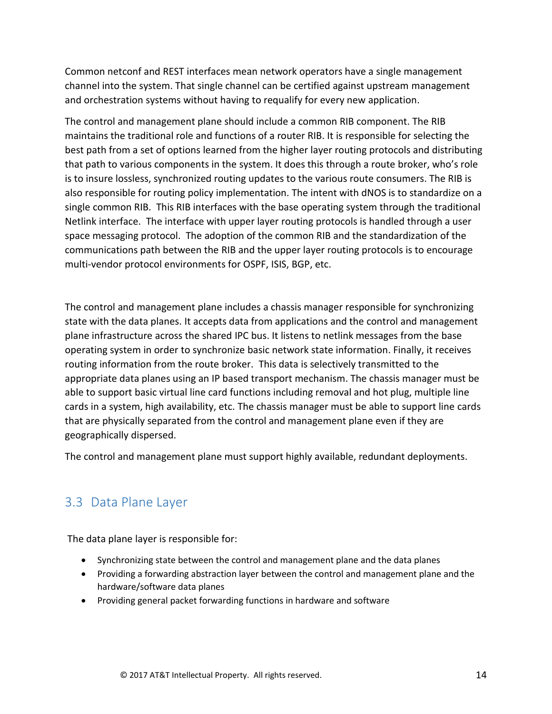Common netconf and REST interfaces mean network operators have a single management channel into the system. That single channel can be certified against upstream management and orchestration systems without having to requalify for every new application.

The control and management plane should include a common RIB component. The RIB maintains the traditional role and functions of a router RIB. It is responsible for selecting the best path from a set of options learned from the higher layer routing protocols and distributing that path to various components in the system. It does this through a route broker, who's role is to insure lossless, synchronized routing updates to the various route consumers. The RIB is also responsible for routing policy implementation. The intent with dNOS is to standardize on a single common RIB. This RIB interfaces with the base operating system through the traditional Netlink interface. The interface with upper layer routing protocols is handled through a user space messaging protocol. The adoption of the common RIB and the standardization of the communications path between the RIB and the upper layer routing protocols is to encourage multi-vendor protocol environments for OSPF, ISIS, BGP, etc.

The control and management plane includes a chassis manager responsible for synchronizing state with the data planes. It accepts data from applications and the control and management plane infrastructure across the shared IPC bus. It listens to netlink messages from the base operating system in order to synchronize basic network state information. Finally, it receives routing information from the route broker. This data is selectively transmitted to the appropriate data planes using an IP based transport mechanism. The chassis manager must be able to support basic virtual line card functions including removal and hot plug, multiple line cards in a system, high availability, etc. The chassis manager must be able to support line cards that are physically separated from the control and management plane even if they are geographically dispersed.

The control and management plane must support highly available, redundant deployments.

#### <span id="page-13-0"></span>3.3 Data Plane Layer

The data plane layer is responsible for:

- Synchronizing state between the control and management plane and the data planes
- Providing a forwarding abstraction layer between the control and management plane and the hardware/software data planes
- Providing general packet forwarding functions in hardware and software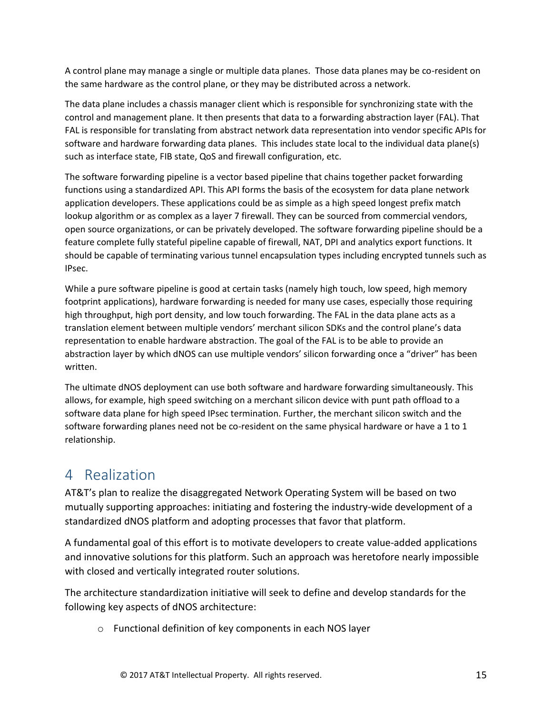A control plane may manage a single or multiple data planes. Those data planes may be co-resident on the same hardware as the control plane, or they may be distributed across a network.

The data plane includes a chassis manager client which is responsible for synchronizing state with the control and management plane. It then presents that data to a forwarding abstraction layer (FAL). That FAL is responsible for translating from abstract network data representation into vendor specific APIs for software and hardware forwarding data planes. This includes state local to the individual data plane(s) such as interface state, FIB state, QoS and firewall configuration, etc.

The software forwarding pipeline is a vector based pipeline that chains together packet forwarding functions using a standardized API. This API forms the basis of the ecosystem for data plane network application developers. These applications could be as simple as a high speed longest prefix match lookup algorithm or as complex as a layer 7 firewall. They can be sourced from commercial vendors, open source organizations, or can be privately developed. The software forwarding pipeline should be a feature complete fully stateful pipeline capable of firewall, NAT, DPI and analytics export functions. It should be capable of terminating various tunnel encapsulation types including encrypted tunnels such as IPsec.

While a pure software pipeline is good at certain tasks (namely high touch, low speed, high memory footprint applications), hardware forwarding is needed for many use cases, especially those requiring high throughput, high port density, and low touch forwarding. The FAL in the data plane acts as a translation element between multiple vendors' merchant silicon SDKs and the control plane's data representation to enable hardware abstraction. The goal of the FAL is to be able to provide an abstraction layer by which dNOS can use multiple vendors' silicon forwarding once a "driver" has been written.

The ultimate dNOS deployment can use both software and hardware forwarding simultaneously. This allows, for example, high speed switching on a merchant silicon device with punt path offload to a software data plane for high speed IPsec termination. Further, the merchant silicon switch and the software forwarding planes need not be co-resident on the same physical hardware or have a 1 to 1 relationship.

### <span id="page-14-0"></span>4 Realization

AT&T's plan to realize the disaggregated Network Operating System will be based on two mutually supporting approaches: initiating and fostering the industry-wide development of a standardized dNOS platform and adopting processes that favor that platform.

A fundamental goal of this effort is to motivate developers to create value-added applications and innovative solutions for this platform. Such an approach was heretofore nearly impossible with closed and vertically integrated router solutions.

The architecture standardization initiative will seek to define and develop standards for the following key aspects of dNOS architecture:

o Functional definition of key components in each NOS layer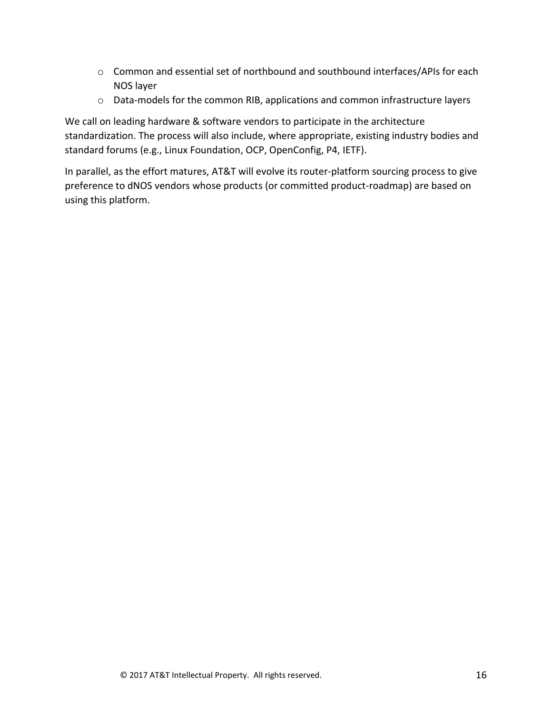- o Common and essential set of northbound and southbound interfaces/APIs for each NOS layer
- o Data-models for the common RIB, applications and common infrastructure layers

We call on leading hardware & software vendors to participate in the architecture standardization. The process will also include, where appropriate, existing industry bodies and standard forums (e.g., Linux Foundation, OCP, OpenConfig, P4, IETF).

In parallel, as the effort matures, AT&T will evolve its router-platform sourcing process to give preference to dNOS vendors whose products (or committed product-roadmap) are based on using this platform.